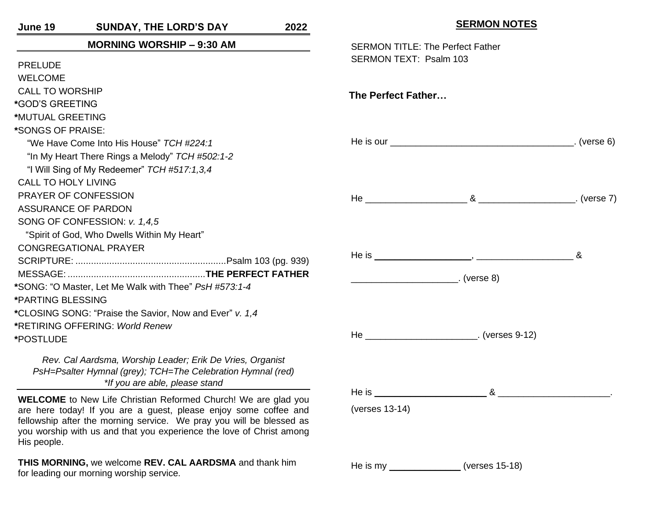**June 19 SUNDAY, THE LORD'S DAY 2022 MORNING WORSHIP – 9:30 AM**  PRELUDE WELCOME CALL TO WORSHIP **\***GOD'S GREETING **\***MUTUAL GREETING **\***SONGS OF PRAISE: "We Have Come Into His House" *TCH #224:1* "In My Heart There Rings a Melody" *TCH #502:1-2* "I Will Sing of My Redeemer" *TCH #517:1,3,4* CALL TO HOLY LIVING PRAYER OF CONFESSION ASSURANCE OF PARDON SONG OF CONFESSION: *v. 1,4,5* "Spirit of God, Who Dwells Within My Heart" CONGREGATIONAL PRAYER SCRIPTURE: ..........................................................Psalm 103 (pg. 939) MESSAGE: .....................................................**THE PERFECT FATHER \***SONG: "O Master, Let Me Walk with Thee" *PsH #573:1-4* **\***PARTING BLESSING **\***CLOSING SONG: "Praise the Savior, Now and Ever" *v. 1,4* **\***RETIRING OFFERING: *World Renew* **\***POSTLUDE

*Rev. Cal Aardsma, Worship Leader; Erik De Vries, Organist PsH=Psalter Hymnal (grey); TCH=The Celebration Hymnal (red) \*If you are able, please stand*

**WELCOME** to New Life Christian Reformed Church! We are glad you are here today! If you are a guest, please enjoy some coffee and fellowship after the morning service. We pray you will be blessed as you worship with us and that you experience the love of Christ among His people.

**THIS MORNING,** we welcome **REV. CAL AARDSMA** and thank him for leading our morning worship service.

|                                                                   | <u>SERIVIUN INUTES</u>                          |  |
|-------------------------------------------------------------------|-------------------------------------------------|--|
| <b>SERMON TITLE: The Perfect Father</b><br>SERMON TEXT: Psalm 103 |                                                 |  |
| The Perfect Father                                                |                                                 |  |
|                                                                   |                                                 |  |
|                                                                   |                                                 |  |
|                                                                   |                                                 |  |
|                                                                   | He _____________________________. (verses 9-12) |  |
| (verses 13-14)                                                    |                                                 |  |
| He is my $\_$                                                     | (verses 15-18)                                  |  |

**SERMON NOTES**